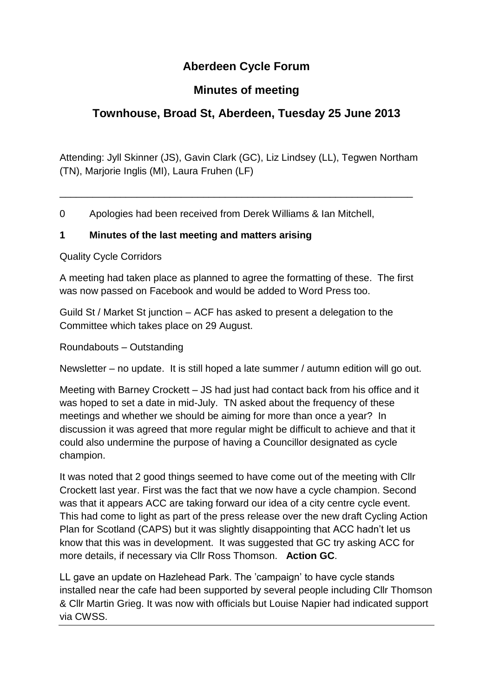# **Aberdeen Cycle Forum**

## **Minutes of meeting**

## **Townhouse, Broad St, Aberdeen, Tuesday 25 June 2013**

Attending: Jyll Skinner (JS), Gavin Clark (GC), Liz Lindsey (LL), Tegwen Northam (TN), Marjorie Inglis (MI), Laura Fruhen (LF)

\_\_\_\_\_\_\_\_\_\_\_\_\_\_\_\_\_\_\_\_\_\_\_\_\_\_\_\_\_\_\_\_\_\_\_\_\_\_\_\_\_\_\_\_\_\_\_\_\_\_\_\_\_\_\_\_\_\_\_\_\_\_\_\_

0 Apologies had been received from Derek Williams & Ian Mitchell,

#### **1 Minutes of the last meeting and matters arising**

Quality Cycle Corridors

A meeting had taken place as planned to agree the formatting of these. The first was now passed on Facebook and would be added to Word Press too.

Guild St / Market St junction – ACF has asked to present a delegation to the Committee which takes place on 29 August.

Roundabouts – Outstanding

Newsletter – no update. It is still hoped a late summer / autumn edition will go out.

Meeting with Barney Crockett – JS had just had contact back from his office and it was hoped to set a date in mid-July. TN asked about the frequency of these meetings and whether we should be aiming for more than once a year? In discussion it was agreed that more regular might be difficult to achieve and that it could also undermine the purpose of having a Councillor designated as cycle champion.

It was noted that 2 good things seemed to have come out of the meeting with Cllr Crockett last year. First was the fact that we now have a cycle champion. Second was that it appears ACC are taking forward our idea of a city centre cycle event. This had come to light as part of the press release over the new draft Cycling Action Plan for Scotland (CAPS) but it was slightly disappointing that ACC hadn't let us know that this was in development. It was suggested that GC try asking ACC for more details, if necessary via Cllr Ross Thomson. **Action GC**.

LL gave an update on Hazlehead Park. The 'campaign' to have cycle stands installed near the cafe had been supported by several people including Cllr Thomson & Cllr Martin Grieg. It was now with officials but Louise Napier had indicated support via CWSS.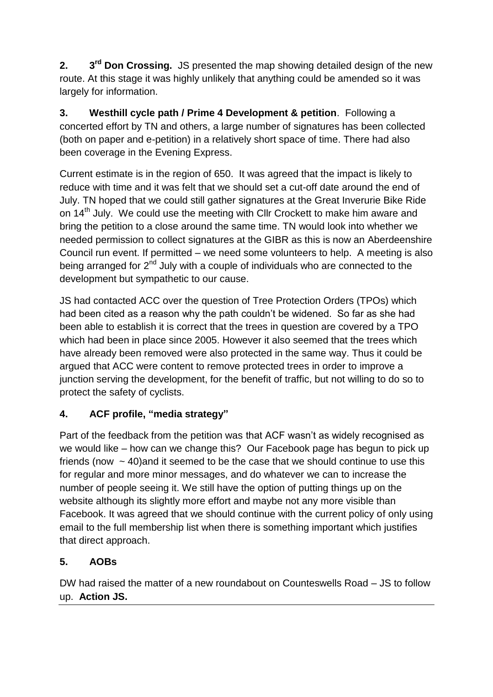**2. 3 3<sup>rd</sup> Don Crossing.** JS presented the map showing detailed design of the new route. At this stage it was highly unlikely that anything could be amended so it was largely for information.

**3. Westhill cycle path / Prime 4 Development & petition**. Following a concerted effort by TN and others, a large number of signatures has been collected (both on paper and e-petition) in a relatively short space of time. There had also been coverage in the Evening Express.

Current estimate is in the region of 650. It was agreed that the impact is likely to reduce with time and it was felt that we should set a cut-off date around the end of July. TN hoped that we could still gather signatures at the Great Inverurie Bike Ride on 14<sup>th</sup> July. We could use the meeting with Cllr Crockett to make him aware and bring the petition to a close around the same time. TN would look into whether we needed permission to collect signatures at the GIBR as this is now an Aberdeenshire Council run event. If permitted – we need some volunteers to help. A meeting is also being arranged for  $2<sup>nd</sup>$  July with a couple of individuals who are connected to the development but sympathetic to our cause.

JS had contacted ACC over the question of Tree Protection Orders (TPOs) which had been cited as a reason why the path couldn't be widened. So far as she had been able to establish it is correct that the trees in question are covered by a TPO which had been in place since 2005. However it also seemed that the trees which have already been removed were also protected in the same way. Thus it could be argued that ACC were content to remove protected trees in order to improve a junction serving the development, for the benefit of traffic, but not willing to do so to protect the safety of cyclists.

# **4. ACF profile, "media strategy"**

Part of the feedback from the petition was that ACF wasn't as widely recognised as we would like – how can we change this? Our Facebook page has begun to pick up friends (now  $\sim$  40) and it seemed to be the case that we should continue to use this for regular and more minor messages, and do whatever we can to increase the number of people seeing it. We still have the option of putting things up on the website although its slightly more effort and maybe not any more visible than Facebook. It was agreed that we should continue with the current policy of only using email to the full membership list when there is something important which justifies that direct approach.

## **5. AOBs**

DW had raised the matter of a new roundabout on Counteswells Road – JS to follow up. **Action JS.**